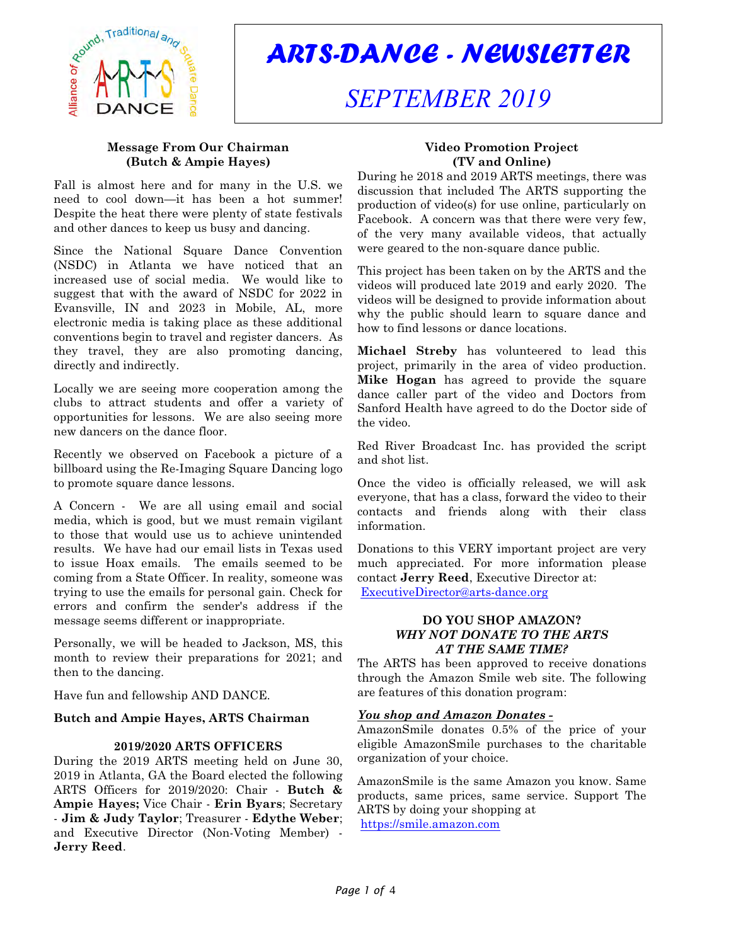

# *ARTS-DANCE - NEWSLETTER*

## *SEPTEMBER 2019*

## **Message From Our Chairman (Butch & Ampie Hayes)**

Fall is almost here and for many in the U.S. we need to cool down—it has been a hot summer! Despite the heat there were plenty of state festivals and other dances to keep us busy and dancing.

Since the National Square Dance Convention (NSDC) in Atlanta we have noticed that an increased use of social media. We would like to suggest that with the award of NSDC for 2022 in Evansville, IN and 2023 in Mobile, AL, more electronic media is taking place as these additional conventions begin to travel and register dancers. As they travel, they are also promoting dancing, directly and indirectly.

Locally we are seeing more cooperation among the clubs to attract students and offer a variety of opportunities for lessons. We are also seeing more new dancers on the dance floor.

Recently we observed on Facebook a picture of a billboard using the Re-Imaging Square Dancing logo to promote square dance lessons.

A Concern - We are all using email and social media, which is good, but we must remain vigilant to those that would use us to achieve unintended results. We have had our email lists in Texas used to issue Hoax emails. The emails seemed to be coming from a State Officer. In reality, someone was trying to use the emails for personal gain. Check for errors and confirm the sender's address if the message seems different or inappropriate.

Personally, we will be headed to Jackson, MS, this month to review their preparations for 2021; and then to the dancing.

Have fun and fellowship AND DANCE.

## **Butch and Ampie Hayes, ARTS Chairman**

#### **2019/2020 ARTS OFFICERS**

During the 2019 ARTS meeting held on June 30, 2019 in Atlanta, GA the Board elected the following ARTS Officers for 2019/2020: Chair - **Butch & Ampie Hayes;** Vice Chair - **Erin Byars**; Secretary - **Jim & Judy Taylor**; Treasurer - **Edythe Weber**; and Executive Director (Non-Voting Member) - **Jerry Reed**.

## **Video Promotion Project (TV and Online)**

During he 2018 and 2019 ARTS meetings, there was discussion that included The ARTS supporting the production of video(s) for use online, particularly on Facebook. A concern was that there were very few, of the very many available videos, that actually were geared to the non-square dance public.

This project has been taken on by the ARTS and the videos will produced late 2019 and early 2020. The videos will be designed to provide information about why the public should learn to square dance and how to find lessons or dance locations.

**Michael Streby** has volunteered to lead this project, primarily in the area of video production. **Mike Hogan** has agreed to provide the square dance caller part of the video and Doctors from Sanford Health have agreed to do the Doctor side of the video.

Red River Broadcast Inc. has provided the script and shot list.

Once the video is officially released, we will ask everyone, that has a class, forward the video to their contacts and friends along with their class information.

Donations to this VERY important project are very much appreciated. For more information please contact **Jerry Reed**, Executive Director at: [ExecutiveDirector@arts-dance.org](mailto:ExecutiveDirector@arts-dance.org)

#### **DO YOU SHOP AMAZON?** *WHY NOT DONATE TO THE ARTS AT THE SAME TIME?*

The ARTS has been approved to receive donations through the Amazon Smile web site. The following are features of this donation program:

## *You shop and Amazon Donates -*

AmazonSmile donates 0.5% of the price of your eligible AmazonSmile purchases to the charitable organization of your choice.

AmazonSmile is the same Amazon you know. Same products, same prices, same service. Support The ARTS by doing your shopping at <https://smile.amazon.com>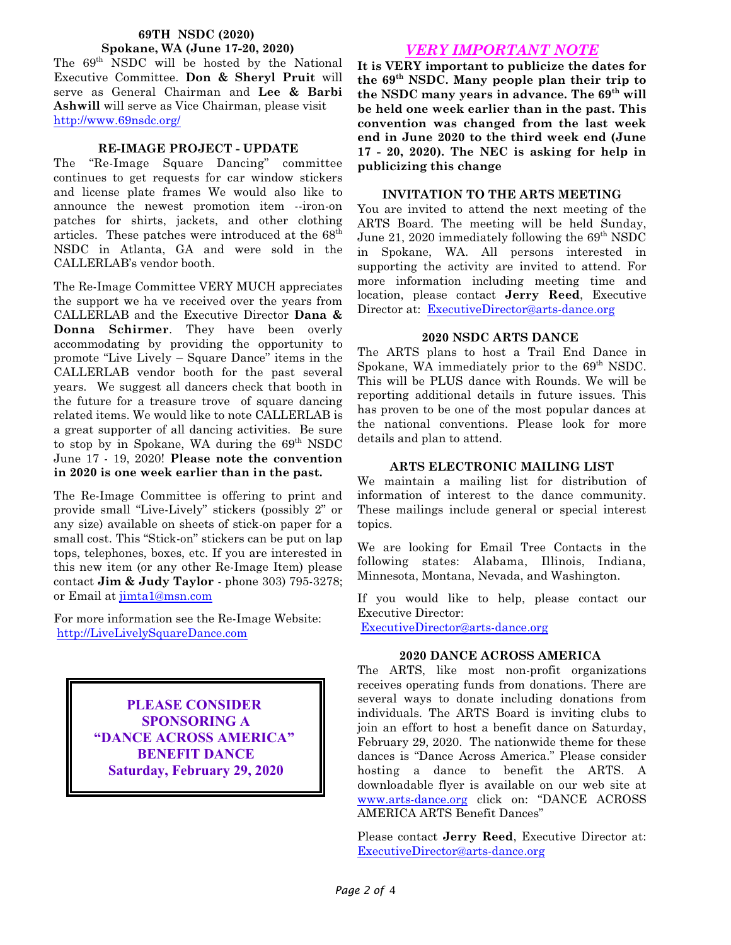## **69TH NSDC (2020)**

#### **Spokane, WA (June 17-20, 2020)**

The 69th NSDC will be hosted by the National Executive Committee. **Don & Sheryl Pruit** will serve as General Chairman and **Lee & Barbi Ashwill** will serve as Vice Chairman, please visit <http://www.69nsdc.org/>

#### **RE-IMAGE PROJECT - UPDATE**

The "Re-Image Square Dancing" committee continues to get requests for car window stickers and license plate frames We would also like to announce the newest promotion item --iron-on patches for shirts, jackets, and other clothing articles. These patches were introduced at the 68<sup>th</sup> NSDC in Atlanta, GA and were sold in the CALLERLAB's vendor booth.

The Re-Image Committee VERY MUCH appreciates the support we ha ve received over the years from CALLERLAB and the Executive Director **Dana & Donna Schirmer**. They have been overly accommodating by providing the opportunity to promote "Live Lively – Square Dance" items in the CALLERLAB vendor booth for the past several years. We suggest all dancers check that booth in the future for a treasure trove of square dancing related items. We would like to note CALLERLAB is a great supporter of all dancing activities. Be sure to stop by in Spokane, WA during the  $69<sup>th</sup>$  NSDC June 17 - 19, 2020! **Please note the convention in 2020 is one week earlier than in the past.**

The Re-Image Committee is offering to print and provide small "Live-Lively" stickers (possibly 2" or any size) available on sheets of stick-on paper for a small cost. This "Stick-on" stickers can be put on lap tops, telephones, boxes, etc. If you are interested in this new item (or any other Re-Image Item) please contact **Jim & Judy Taylor** - phone 303) 795-3278; or Email at [jimta1@msn.com](mailto:jimta1@msn.com)

For more information see the Re-Image Website: <http://LiveLivelySquareDance.com>

> **PLEASE CONSIDER SPONSORING A "DANCE ACROSS AMERICA" BENEFIT DANCE Saturday, February 29, 2020**

## *VERY IMPORTANT NOTE*

**It is VERY important to publicize the dates for the 69th NSDC. Many people plan their trip to the NSDC many years in advance. The 69th will be held one week earlier than in the past. This convention was changed from the last week end in June 2020 to the third week end (June 17 - 20, 2020). The NEC is asking for help in publicizing this change**

#### **INVITATION TO THE ARTS MEETING**

You are invited to attend the next meeting of the ARTS Board. The meeting will be held Sunday, June 21, 2020 immediately following the  $69<sup>th</sup>$  NSDC in Spokane, WA. All persons interested in supporting the activity are invited to attend. For more information including meeting time and location, please contact **Jerry Reed**, Executive Director at: [ExecutiveDirector@arts-dance.org](mailto:ExecutiveDirector@arts-dance.org)

#### **2020 NSDC ARTS DANCE**

The ARTS plans to host a Trail End Dance in Spokane, WA immediately prior to the 69<sup>th</sup> NSDC. This will be PLUS dance with Rounds. We will be reporting additional details in future issues. This has proven to be one of the most popular dances at the national conventions. Please look for more details and plan to attend.

#### **ARTS ELECTRONIC MAILING LIST**

We maintain a mailing list for distribution of information of interest to the dance community. These mailings include general or special interest topics.

We are looking for Email Tree Contacts in the following states: Alabama, Illinois, Indiana, Minnesota, Montana, Nevada, and Washington.

If you would like to help, please contact our Executive Director:

[ExecutiveDirector@arts-dance.org](mailto:ExecutiveDirector@arts-dance.org)

#### **2020 DANCE ACROSS AMERICA**

The ARTS, like most non-profit organizations receives operating funds from donations. There are several ways to donate including donations from individuals. The ARTS Board is inviting clubs to join an effort to host a benefit dance on Saturday, February 29, 2020. The nationwide theme for these dances is "Dance Across America." Please consider hosting a dance to benefit the ARTS. A downloadable flyer is available on our web site at [www.arts-dance.org](http://www.arts-dance.com) click on: "DANCE ACROSS AMERICA ARTS Benefit Dances"

Please contact **Jerry Reed**, Executive Director at: [ExecutiveDirector@arts-dance.org](mailto:ExecutiveDirector@arts-dance.org)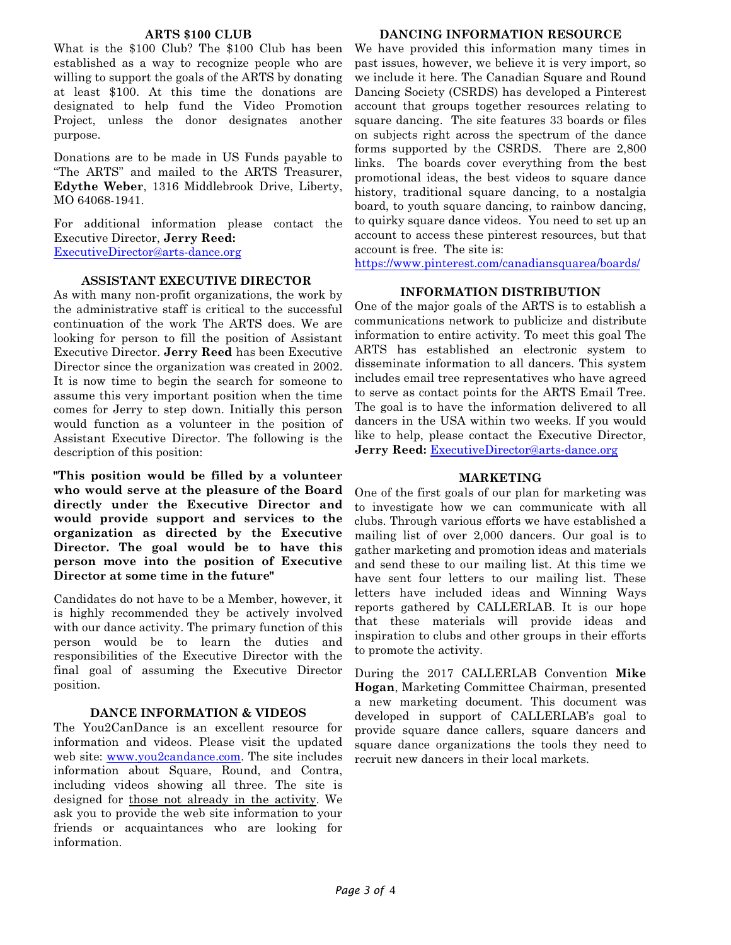#### **ARTS \$100 CLUB**

What is the \$100 Club? The \$100 Club has been established as a way to recognize people who are willing to support the goals of the ARTS by donating at least \$100. At this time the donations are designated to help fund the Video Promotion Project, unless the donor designates another purpose.

Donations are to be made in US Funds payable to "The ARTS" and mailed to the ARTS Treasurer, **Edythe Weber**, 1316 Middlebrook Drive, Liberty, MO 64068-1941.

For additional information please contact the Executive Director, **Jerry Reed:** [ExecutiveDirector@arts-dance.org](mailto:at:ExecutiveDirector@arts-dance.org)

#### **ASSISTANT EXECUTIVE DIRECTOR**

As with many non-profit organizations, the work by the administrative staff is critical to the successful continuation of the work The ARTS does. We are looking for person to fill the position of Assistant Executive Director. **Jerry Reed** has been Executive Director since the organization was created in 2002. It is now time to begin the search for someone to assume this very important position when the time comes for Jerry to step down. Initially this person would function as a volunteer in the position of Assistant Executive Director. The following is the description of this position:

**"This position would be filled by a volunteer who would serve at the pleasure of the Board directly under the Executive Director and would provide support and services to the organization as directed by the Executive Director. The goal would be to have this person move into the position of Executive Director at some time in the future"**

Candidates do not have to be a Member, however, it is highly recommended they be actively involved with our dance activity. The primary function of this person would be to learn the duties and responsibilities of the Executive Director with the final goal of assuming the Executive Director position.

#### **DANCE INFORMATION & VIDEOS**

The You2CanDance is an excellent resource for information and videos. Please visit the updated web site: www.you2candance.com. The site includes information about Square, Round, and Contra, including videos showing all three. The site is designed for those not already in the activity. We ask you to provide the web site information to your friends or acquaintances who are looking for information.

#### **DANCING INFORMATION RESOURCE**

We have provided this information many times in past issues, however, we believe it is very import, so we include it here. The Canadian Square and Round Dancing Society (CSRDS) has developed a Pinterest account that groups together resources relating to square dancing. The site features 33 boards or files on subjects right across the spectrum of the dance forms supported by the CSRDS. There are 2,800 links. The boards cover everything from the best promotional ideas, the best videos to square dance history, traditional square dancing, to a nostalgia board, to youth square dancing, to rainbow dancing, to quirky square dance videos. You need to set up an account to access these pinterest resources, but that account is free. The site is:

<https://www.pinterest.com/canadiansquarea/boards/>

## **INFORMATION DISTRIBUTION**

One of the major goals of the ARTS is to establish a communications network to publicize and distribute information to entire activity. To meet this goal The ARTS has established an electronic system to disseminate information to all dancers. This system includes email tree representatives who have agreed to serve as contact points for the ARTS Email Tree. The goal is to have the information delivered to all dancers in the USA within two weeks. If you would like to help, please contact the Executive Director, **Jerry Reed:** [ExecutiveDirector@arts-dance.org](mailto:at:ExecutiveDirector@arts-dance.org)

#### **MARKETING**

One of the first goals of our plan for marketing was to investigate how we can communicate with all clubs. Through various efforts we have established a mailing list of over 2,000 dancers. Our goal is to gather marketing and promotion ideas and materials and send these to our mailing list. At this time we have sent four letters to our mailing list. These letters have included ideas and Winning Ways reports gathered by CALLERLAB. It is our hope that these materials will provide ideas and inspiration to clubs and other groups in their efforts to promote the activity.

During the 2017 CALLERLAB Convention **Mike Hogan**, Marketing Committee Chairman, presented a new marketing document. This document was developed in support of CALLERLAB's goal to provide square dance callers, square dancers and square dance organizations the tools they need to recruit new dancers in their local markets.